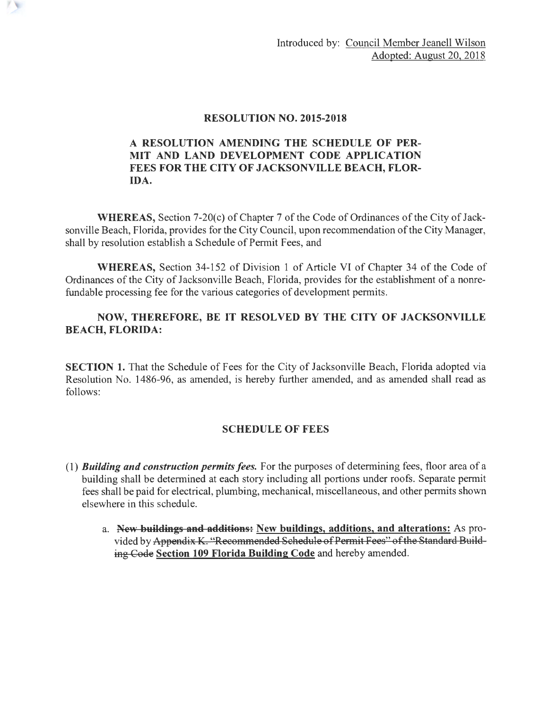### RESOLUTION NO. 2015-2018

### A RESOLUTION AMENDING THE SCHEDULE OF PER-MIT AND LAND DEVELOPMENT CODE APPLICATION FEES FOR THE CITY OF JACKSONVILLE BEACH, FLOR-IDA.

WHEREAS, Section 7-20(c) of Chapter 7 of the Code of Ordinances of the City of Jacksonville Beach, Florida, provides for the City Council, upon recommendation of the City Manager, shall by resolution establish a Schedule of Permit Fees, and

WHEREAS, Section 34-152 of Division 1 of Article VI of Chapter 34 of the Code of Ordinances of the City of Jacksonville Beach, Florida, provides for the establishment of a nonrefundable processing fee for the various categories of development permits.

## NOW, THEREFORE, BE IT RESOLVED BY THE CITY OF JACKSONVILLE BEACH, FLORIDA:

SECTION 1. That the Schedule of Fees for the City of Jacksonville Beach, Florida adopted via Resolution No. 1486-96, as amended, is hereby further amended, and as amended shall read as follows:

# SCHEDULE OF FEES

- ( 1) *Building and construction permits fees.* For the purposes of determining fees, floor area of a building shall be determined at each story including all portions under roofs. Separate permit fees shall be paid for electrical, plumbing, mechanical, miscellaneous, and other permits shown elsewhere in this schedule.
	- a. New buildings and additions: New buildings, additions, and alterations: As provided by Appendix K. "Recommended Schedule of Permit Fees" of the Standard Build ing Code Section 109 Florida Building Code and hereby amended.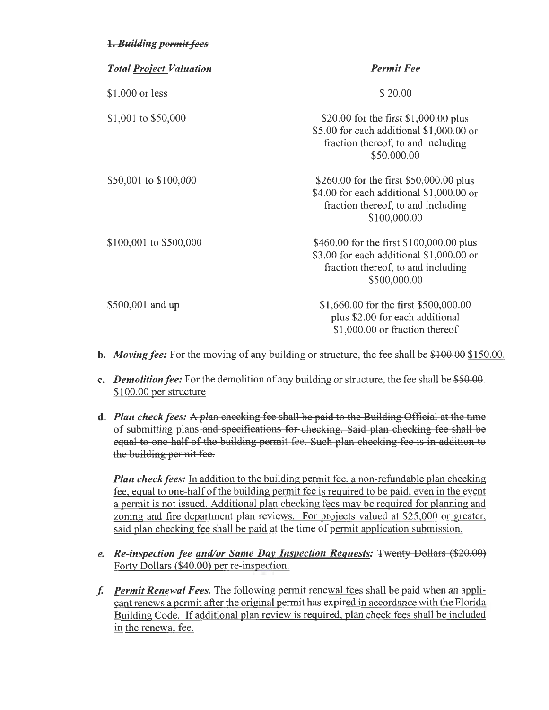### 1. **Building permit fees**

| <b>Total Project Valuation</b> | <b>Permit Fee</b>                                                                                                                          |
|--------------------------------|--------------------------------------------------------------------------------------------------------------------------------------------|
| \$1,000 or less                | \$20.00                                                                                                                                    |
| \$1,001 to \$50,000            | \$20.00 for the first \$1,000.00 plus<br>\$5.00 for each additional \$1,000.00 or<br>fraction thereof, to and including<br>\$50,000.00     |
| \$50,001 to \$100,000          | \$260.00 for the first \$50,000.00 plus<br>\$4.00 for each additional \$1,000.00 or<br>fraction thereof, to and including<br>\$100,000.00  |
| \$100,001 to \$500,000         | \$460.00 for the first \$100,000.00 plus<br>\$3.00 for each additional \$1,000.00 or<br>fraction thereof, to and including<br>\$500,000.00 |
| \$500,001 and up               | \$1,660.00 for the first \$500,000.00<br>plus \$2.00 for each additional<br>\$1,000.00 or fraction thereof                                 |

- **b.** *Moving fee:* For the moving of any building or structure, the fee shall be \$100.00 \$150.00.
- c. *Demolition fee:* For the demolition of any building or structure, the fee shall be \$50.00. \$100.00 per structure
- d. *Plan check fees:* A plan checking fee shall be paid to the Building Official at the time of submitting plans and specifications for checking. Said plan checking fee shall be equal to one half of the building permit fee . Such plan checking fee is in addition to the building permit fee.

*Plan check fees:* In addition to the building permit fee, a non-refundable plan checking fee, equal to one-half of the building permit fee is required to be paid, even in the event a permit is not issued. Additional plan checking fees may be required for planning and zoning and fire department plan reviews. For projects valued at \$25,000 or greater, said plan checking fee shall be paid at the time of permit application submission.

- *e. Re-inspection fee and/or Same Day Inspection Requests:* Twenty Dollars (\$20.00) Forty Dollars (\$40.00) per re-inspection.
- f. *Permit Renewal Fees.* The following permit renewal fees shall be paid when an applicant renews a permit after the original permit has expired in accordance with the Florida Building Code. If additional plan review is required, plan check fees shall be included in the renewal fee.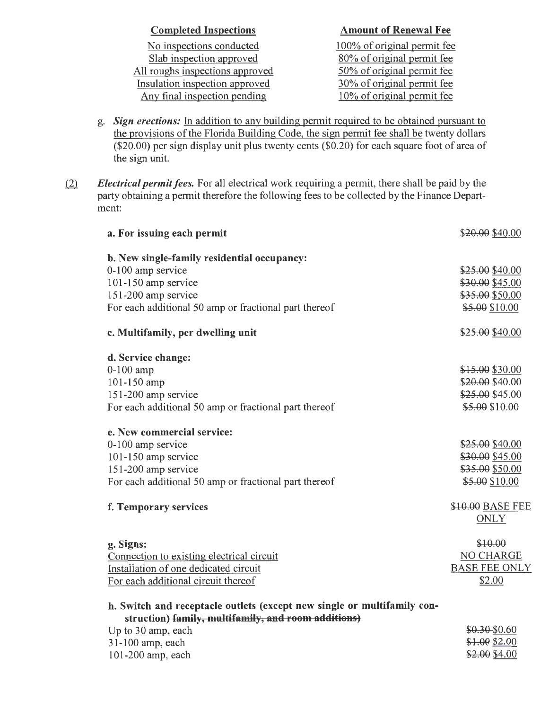| <b>Completed Inspections</b>    | <b>Amount of Renewal Fee</b>  |
|---------------------------------|-------------------------------|
| No inspections conducted        | 100% of original permit fee   |
| Slab inspection approved        | 80% of original permit fee    |
| All roughs inspections approved | 50% of original permit fee    |
| Insulation inspection approved  | 30% of original permit fee    |
| Any final inspection pending    | $10\%$ of original permit fee |

- g. *Sign erections:* In addition to any building permit required to be obtained pursuant to the provisions of the Florida Building Code, the sign permit fee shall be twenty dollars (\$20.00) per sign display unit plus twenty cents (\$0.20) for each square foot of area of the sign unit.
- <u>(2)</u> *Electrical permit fees.* For all electrical work requiring a permit, there shall be paid by the party obtaining a permit therefore the following fees to be collected by the Finance Department:

| a. For issuing each permit                                              | \$20.00 \$40.00      |
|-------------------------------------------------------------------------|----------------------|
| b. New single-family residential occupancy:                             |                      |
| 0-100 amp service                                                       | \$25.00 \$40.00      |
| 101-150 amp service                                                     | \$30.00 \$45.00      |
| 151-200 amp service                                                     | \$35.00 \$50.00      |
| For each additional 50 amp or fractional part thereof                   | \$5.00 \$10.00       |
| c. Multifamily, per dwelling unit                                       | \$25.00 \$40.00      |
| d. Service change:                                                      |                      |
| $0-100$ amp                                                             | \$15.00 \$30.00      |
| 101-150 amp                                                             | \$20.00 \$40.00      |
| 151-200 amp service                                                     | \$25.00 \$45.00      |
| For each additional 50 amp or fractional part thereof                   | \$5.00 \$10.00       |
| e. New commercial service:                                              |                      |
| 0-100 amp service                                                       | \$25.00 \$40.00      |
| 101-150 amp service                                                     | \$30.00 \$45.00      |
| 151-200 amp service                                                     | \$35.00 \$50.00      |
| For each additional 50 amp or fractional part thereof                   | \$5.00 \$10.00       |
| f. Temporary services                                                   | \$10.00 BASE FEE     |
|                                                                         | <b>ONLY</b>          |
| g. Signs:                                                               | \$10.00              |
| Connection to existing electrical circuit                               | <b>NO CHARGE</b>     |
| Installation of one dedicated circuit                                   | <b>BASE FEE ONLY</b> |
| For each additional circuit thereof                                     | \$2.00               |
| h. Switch and receptacle outlets (except new single or multifamily con- |                      |
| struction) family, multifamily, and room additions)                     |                      |
| Up to 30 amp, each                                                      | \$0.30-\$0.60        |
| 31-100 amp, each                                                        | \$1.00 \$2.00        |
| 101-200 amp, each                                                       | \$2.00 \$4.00        |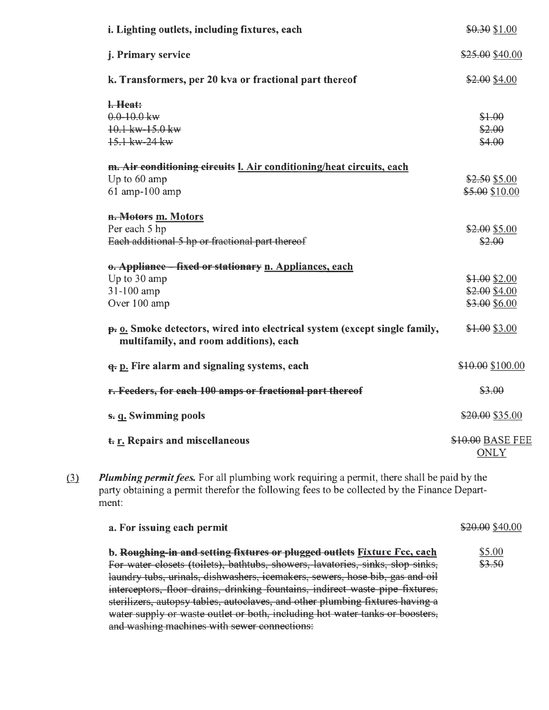| i. Lighting outlets, including fixtures, each                                                                        | \$0.30 \$1.00                   |
|----------------------------------------------------------------------------------------------------------------------|---------------------------------|
| j. Primary service                                                                                                   | \$25.00 \$40.00                 |
| k. Transformers, per 20 kva or fractional part thereof                                                               | \$2.00 \$4.00                   |
| l. Heat:                                                                                                             |                                 |
| $0.0 - 10.0$ kw<br>10.1 kw-15.0 kw                                                                                   | \$1.00<br>\$2.00                |
| 15.1 kw-24 kw                                                                                                        | \$4.00                          |
| m. Air conditioning circuits <i>I. Air conditioning</i> /heat circuits, each                                         |                                 |
| Up to 60 amp                                                                                                         | \$2.50 \$5.00                   |
| 61 amp-100 amp                                                                                                       | \$5.00 \$10.00                  |
| n. Motors m. Motors                                                                                                  |                                 |
| Per each 5 hp                                                                                                        | \$2.00 \$5.00                   |
| Each additional 5 hp or fractional part thereof                                                                      | \$2.00                          |
| o. Appliance - fixed or stationary n. Appliances, each                                                               |                                 |
| Up to 30 amp                                                                                                         | \$1.00\$32.00                   |
| 31-100 amp                                                                                                           | \$2.00 \$4.00                   |
| Over 100 amp                                                                                                         | \$3.00 \$6.00                   |
| p. o. Smoke detectors, wired into electrical system (except single family,<br>multifamily, and room additions), each | \$1.00 \$3.00                   |
| <b>q.</b> p. Fire alarm and signaling systems, each                                                                  | \$10.00 \$100.00                |
| r. Feeders, for each 100 amps or fractional part thereof                                                             | \$3.00                          |
| s. q. Swimming pools                                                                                                 | \$20.00 \$35.00                 |
| t. r. Repairs and miscellaneous                                                                                      | \$10.00 BASE FEE<br><b>ONLY</b> |

<u>(3)</u> Plumbing permit fees. For all plumbing work requiring a permit, there shall be paid by the party obtaining a permit therefor the following fees to be collected by the Finance Department:

| a. For issuing each permit                                                     | \$20.00 \$40.00 |
|--------------------------------------------------------------------------------|-----------------|
| b. Roughing-in and setting fixtures or plugged outlets Fixture Fee, each       | \$5.00          |
| For water closets (toilets), bathtubs, showers, lavatories, sinks, slop sinks, | \$3.50          |
| laundry tubs, urinals, dishwashers, icemakers, sewers, hose bib, gas and oil   |                 |
| interceptors, floor drains, drinking fountains, indirect waste pipe fixtures,  |                 |
| sterilizers, autopsy tables, autoclaves, and other plumbing fixtures having a  |                 |
| water supply or waste outlet or both, including hot water tanks or boosters,   |                 |
| and washing machines with sewer connections:                                   |                 |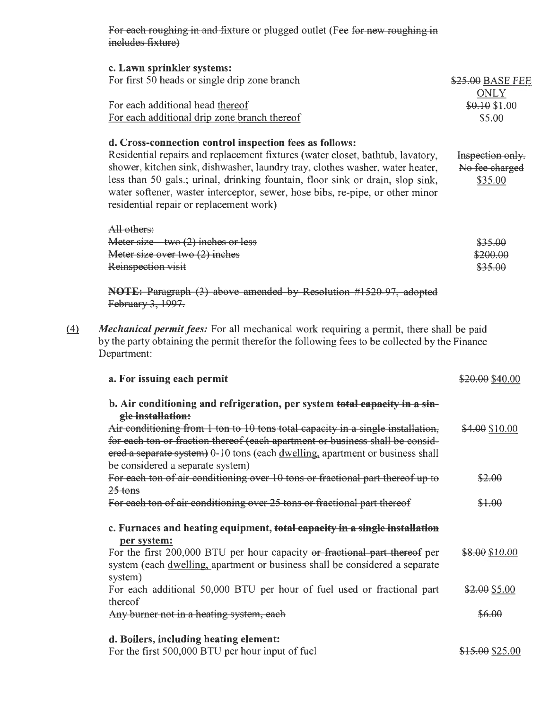For each roughing in and fixture or plugged outlet (Fee for new roughing in includes fixture)

| c. Lawn sprinkler systems:                    |                  |
|-----------------------------------------------|------------------|
| For first 50 heads or single drip zone branch | \$25.00 BASE FEE |
|                                               | ONLY             |
| For each additional head thereof              | $$0.10$ \$1.00   |
| For each additional drip zone branch thereof  | \$5.00           |

#### d. Cross-connection control inspection fees as follows:

Residential repairs and replacement fixtures (water closet, bathtub, lavatory, shower, kitchen sink, dishwasher, laundry tray, clothes washer, water heater, less than 50 gals.; urinal, drinking fountain, floor sink or drain, slop sink, water softener, waster interceptor, sewer, hose bibs, re-pipe, or other minor residential repair or replacement work) Inspection only. No fee charged \$35.00

| \$35.00  |
|----------|
| \$200.00 |
| \$35.00  |
|          |

NOTE: Paragraph (3) above amended by Resolution #1520 97, adopted February 3, 1997.

ffi *Mechanical permit fees:* For all mechanical work requiring a permit, there shall be paid by the party obtaining the permit therefor the following fees to be collected by the Finance Department:

| a. For issuing each permit                                                                                                                                                                                                                                                            | \$20.00 \$40.00 |
|---------------------------------------------------------------------------------------------------------------------------------------------------------------------------------------------------------------------------------------------------------------------------------------|-----------------|
| b. Air conditioning and refrigeration, per system total capacity in a sin-<br>gle installation:                                                                                                                                                                                       |                 |
| Air conditioning from 1 ton to 10 tons total capacity in a single installation.<br>for each ton or fraction thereof (each apartment or business shall be consid-<br>ered a separate system) 0-10 tons (each dwelling, apartment or business shall<br>be considered a separate system) | \$4.00 \$10.00  |
| For each ton of air conditioning over 10 tons or fractional part thereof up to<br>$25$ tons                                                                                                                                                                                           | \$2.00          |
| For each ton of air conditioning over 25 tons or fractional part thereof                                                                                                                                                                                                              | \$1.00          |
| c. Furnaces and heating equipment, total capacity in a single installation<br>per system:                                                                                                                                                                                             |                 |
| For the first 200,000 BTU per hour capacity or fractional part thereof per<br>system (each dwelling, apartment or business shall be considered a separate<br>system)                                                                                                                  | \$8.00 \$10.00  |
| For each additional 50,000 BTU per hour of fuel used or fractional part<br>thereof                                                                                                                                                                                                    | \$2.00 \$5.00   |
| Any burner not in a heating system, each                                                                                                                                                                                                                                              | \$6.00          |
| d. Boilers, including heating element:                                                                                                                                                                                                                                                |                 |
| For the first 500,000 BTU per hour input of fuel                                                                                                                                                                                                                                      | \$15.00 \$25.00 |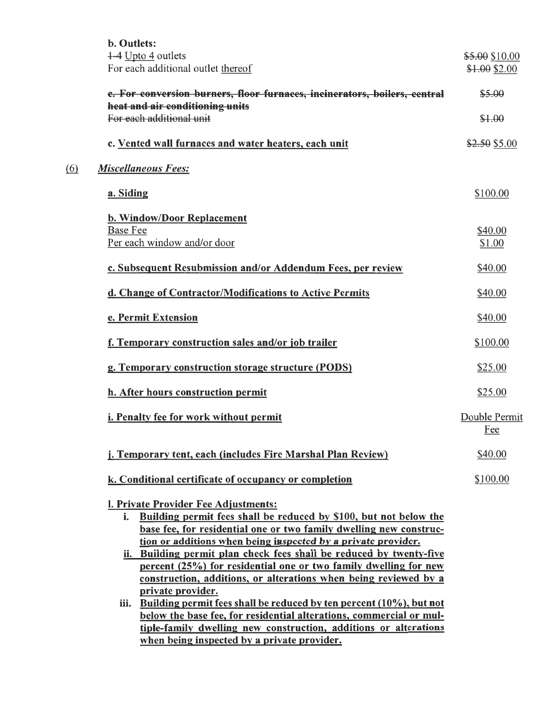|     | <b>b.</b> Outlets:<br>1-4 Upto 4 outlets<br>For each additional outlet thereof                                                          | \$5.00 \$10.00<br>\$1.00 \$2.00 |
|-----|-----------------------------------------------------------------------------------------------------------------------------------------|---------------------------------|
|     | e. For conversion burners, floor furnaces, incinerators, boilers, central                                                               | \$5.00                          |
|     | heat and air conditioning units                                                                                                         |                                 |
|     | For each additional unit                                                                                                                | \$1.00                          |
|     | c. Vented wall furnaces and water heaters, each unit                                                                                    | \$2.50 \$5.00                   |
| (6) | <b>Miscellaneous Fees:</b>                                                                                                              |                                 |
|     | a. Siding                                                                                                                               | \$100.00                        |
|     | <b>b. Window/Door Replacement</b>                                                                                                       |                                 |
|     | <b>Base Fee</b><br>Per each window and/or door                                                                                          | \$40.00<br>\$1.00               |
|     |                                                                                                                                         |                                 |
|     | c. Subsequent Resubmission and/or Addendum Fees, per review                                                                             | \$40.00                         |
|     | d. Change of Contractor/Modifications to Active Permits                                                                                 | \$40.00                         |
|     | e. Permit Extension                                                                                                                     | \$40.00                         |
|     | f. Temporary construction sales and/or job trailer                                                                                      | \$100.00                        |
|     | g. Temporary construction storage structure (PODS)                                                                                      | \$25.00                         |
|     | h. After hours construction permit                                                                                                      | \$25.00                         |
|     | i. Penalty fee for work without permit                                                                                                  | Double Permit<br><u>Fee</u>     |
|     | j. Temporary tent, each (includes Fire Marshal Plan Review)                                                                             | \$40.00                         |
|     | k. Conditional certificate of occupancy or completion                                                                                   | \$100.00                        |
|     | I. Private Provider Fee Adjustments:                                                                                                    |                                 |
|     | Building permit fees shall be reduced by \$100, but not below the<br>i.                                                                 |                                 |
|     | base fee, for residential one or two family dwelling new construc-                                                                      |                                 |
|     | tion or additions when being inspected by a private provider.<br>ii. Building permit plan check fees shall be reduced by twenty-five    |                                 |
|     | percent (25%) for residential one or two family dwelling for new                                                                        |                                 |
|     | construction, additions, or alterations when being reviewed by a                                                                        |                                 |
|     | private provider.                                                                                                                       |                                 |
|     | Building permit fees shall be reduced by ten percent (10%), but not<br>iii.                                                             |                                 |
|     | below the base fee, for residential alterations, commercial or mul-<br>tiple-family dwelling new construction, additions or alterations |                                 |
|     | when being inspected by a private provider.                                                                                             |                                 |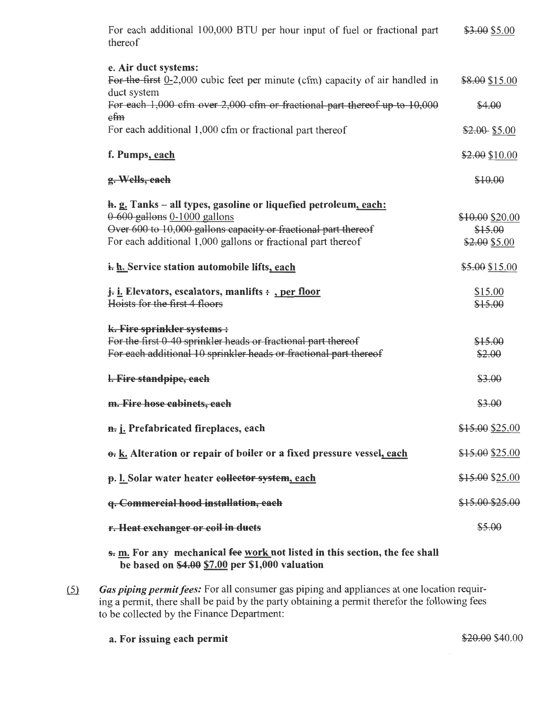| For each additional 100,000 BTU per hour input of fuel or fractional part<br>thereof                                                                                                                                              | \$3.00 \$5.00                               |
|-----------------------------------------------------------------------------------------------------------------------------------------------------------------------------------------------------------------------------------|---------------------------------------------|
| e. Air duct systems:<br>For the first $0-2,000$ cubic feet per minute (cfm) capacity of air handled in<br>duct system                                                                                                             | \$8.00 \$15.00                              |
| For each 1,000 cfm over 2,000 cfm or fractional part thereof up to 10,000<br>efm                                                                                                                                                  | \$4.00                                      |
| For each additional 1,000 cfm or fractional part thereof                                                                                                                                                                          | $$2.00$ \$5.00                              |
| f. Pumps, each                                                                                                                                                                                                                    | \$2.00 \$10.00                              |
| g. Wells, each                                                                                                                                                                                                                    | \$10.00                                     |
| h. g. Tanks - all types, gasoline or liquefied petroleum, each:<br>0-600 gallons 0-1000 gallons<br>Over 600 to 10,000 gallons capacity or fractional part thereof<br>For each additional 1,000 gallons or fractional part thereof | \$10.00 \$20.00<br>\$15.00<br>\$2.00 \$5.00 |
| i. h. Service station automobile lifts, each                                                                                                                                                                                      | \$5.00 \$15.00                              |
| <i>j.</i> i. Elevators, escalators, manlifts : , per floor<br>Hoists for the first 4 floors                                                                                                                                       | \$15.00<br>\$15.00                          |
| k. Fire sprinkler systems :<br>For the first 0-40 sprinkler heads or fractional part thereof<br>For each additional 10 sprinkler heads or fractional part thereof                                                                 | \$15.00<br>\$2.00                           |
| l. Fire standpipe, each                                                                                                                                                                                                           | \$3.00                                      |
| m. Fire hose cabinets, each                                                                                                                                                                                                       | \$3.00                                      |
| n. j. Prefabricated fireplaces, each                                                                                                                                                                                              | \$15.00 \$25.00                             |
| o. k. Alteration or repair of boiler or a fixed pressure vessel, each                                                                                                                                                             | \$15.00 \$25.00                             |
| p. l. Solar water heater eollector system, each                                                                                                                                                                                   | \$15.00 \$25.00                             |
| q. Commercial hood installation, each                                                                                                                                                                                             | \$15.00 \$25.00                             |
| r. Heat exchanger or coil in ducts                                                                                                                                                                                                | \$5.00                                      |
| s. m. For any mechanical fee work not listed in this section, the fee shall<br>be based on $$4.00 $7.00$ per \$1,000 valuation                                                                                                    |                                             |

(5) Gas piping permit fees: For all consumer gas piping and appliances at one location requiring a permit, there shall be paid by the party obtaining a permit therefor the following fees to be collected by the Finance Department:

a. For issuing each permit  $$20.00$  \$40.00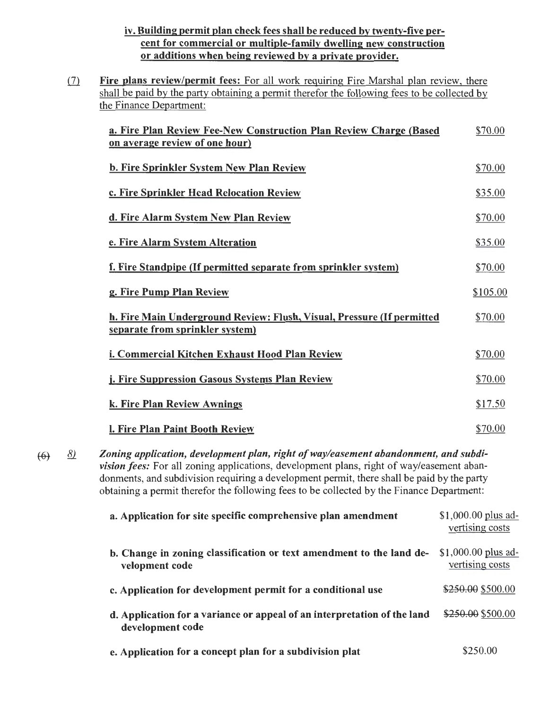## iv. Building permit plan check fees shall be reduced by twenty-five percent for commercial or multiple-family dwelling new construction or additions when being reviewed by a private provider.

(7) Fire plans review/permit fees: For all work requiring Fire Marshal plan review, there shall be paid by the party obtaining a permit therefor the following fees to be collected by the Finance Department:

| a. Fire Plan Review Fee-New Construction Plan Review Charge (Based<br>on average review of one hour)      | \$70.00  |
|-----------------------------------------------------------------------------------------------------------|----------|
| <b>b. Fire Sprinkler System New Plan Review</b>                                                           | \$70.00  |
| c. Fire Sprinkler Head Relocation Review                                                                  | \$35.00  |
| d. Fire Alarm System New Plan Review                                                                      | \$70.00  |
| e. Fire Alarm System Alteration                                                                           | \$35.00  |
| f. Fire Standpipe (If permitted separate from sprinkler system)                                           | \$70.00  |
| g. Fire Pump Plan Review                                                                                  | \$105.00 |
| h. Fire Main Underground Review: Flush, Visual, Pressure (If permitted<br>separate from sprinkler system) | \$70.00  |
| i. Commercial Kitchen Exhaust Hood Plan Review                                                            | \$70.00  |
| j. Fire Suppression Gasous Systems Plan Review                                                            | \$70.00  |
| k. Fire Plan Review Awnings                                                                               | \$17.50  |
| <b>l. Fire Plan Paint Booth Review</b>                                                                    | \$70.00  |

*Zoning application, development plan, right of way/easement abandonment, and subdi-*8)  $(6)$ *vision fees:* For all zoning applications, development plans, right of way/easement abandonments, and subdivision requiring a development permit, there shall be paid by the party obtaining a permit therefor the following fees to be collected by the Finance Department:

| a. Application for site specific comprehensive plan amendment                                | $$1,000.00$ plus ad-<br>vertising costs |
|----------------------------------------------------------------------------------------------|-----------------------------------------|
| b. Change in zoning classification or text amendment to the land de-<br>velopment code       | $$1,000.00$ plus ad-<br>vertising costs |
| c. Application for development permit for a conditional use                                  | \$250.00 \$500.00                       |
| d. Application for a variance or appeal of an interpretation of the land<br>development code | \$250.00 \$500.00                       |
| e. Application for a concept plan for a subdivision plat                                     | \$250.00                                |